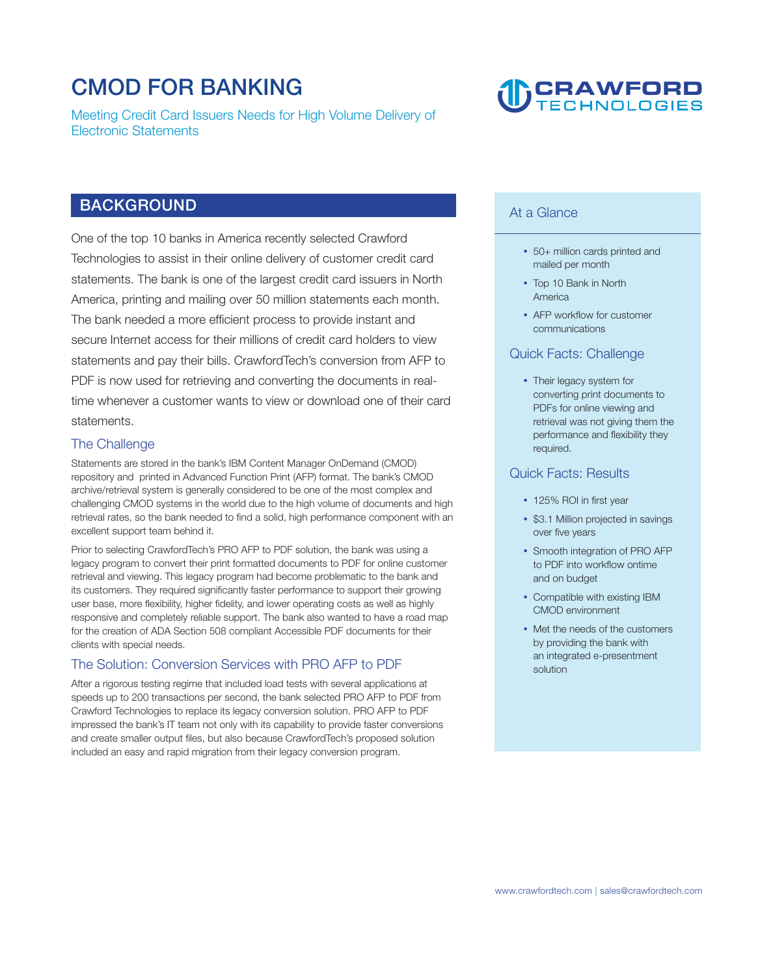# **CMOD FOR BANKING**

**Meeting Credit Card Issuers Needs for High Volume Delivery of Electronic Statements** 

# **D** CRAWFORD

### **BACKGROUND**

**One of the top 10 banks in America recently selected Crawford Technologies to assist in their online delivery of customer credit card statements. The bank is one of the largest credit card issuers in North America, printing and mailing over 50 million statements each month.**  The bank needed a more efficient process to provide instant and **secure Internet access for their millions of credit card holders to view statements and pay their bills. CrawfordTech's conversion from AFP to PDF is now used for retrieving and converting the documents in realtime whenever a customer wants to view or download one of their card statements.** 

#### **The Challenge**

**Statements are stored in the bank's IBM Content Manager OnDemand (CMOD) repository and printed in Advanced Function Print (AFP) format. The bank's CMOD archive/retrieval system is generally considered to be one of the most complex and challenging CMOD systems in the world due to the high volume of documents and high**  retrieval rates, so the bank needed to find a solid, high performance component with an **excellent support team behind it.** 

**Prior to selecting CrawfordTech's PRO AFP to PDF solution, the bank was using a legacy program to convert their print formatted documents to PDF for online customer retrieval and viewing. This legacy program had become problematic to the bank and its customers. They required signifcantly faster performance to support their growing user base, more fexibility, higher fdelity, and lower operating costs as well as highly responsive and completely reliable support. The bank also wanted to have a road map for the creation of ADA Section 508 compliant Accessible PDF documents for their clients with special needs.** 

#### **The Solution: Conversion Services with PRO AFP to PDF**

**After a rigorous testing regime that included load tests with several applications at speeds up to 200 transactions per second, the bank selected PRO AFP to PDF from Crawford Technologies to replace its legacy conversion solution. PRO AFP to PDF impressed the bank's IT team not only with its capability to provide faster conversions and create smaller output fles, but also because CrawfordTech's proposed solution included an easy and rapid migration from their legacy conversion program.** 

### **At a Glance**

- **• 50+ million cards printed and mailed per month**
- **• Top 10 Bank in North America**
- AFP workflow for customer **communications**

#### **Quick Facts: Challenge**

**• Their legacy system for converting print documents to PDFs for online viewing and retrieval was not giving them the performance and fexibility they required.** 

#### **Quick Facts: Results**

- **• 125% ROI in frst year**
- **• \$3.1 Million projected in savings over five years**
- **• Smooth integration of PRO AFP to PDF into workfow ontime and on budget**
- **• Compatible with existing IBM CMOD environment**
- **• Met the needs of the customers by providing the bank with an integrated e-presentment solution**